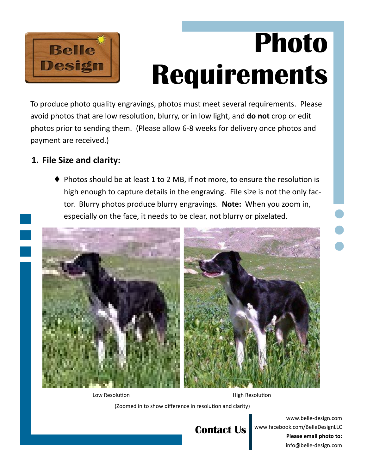

# **Photo Requirements**

To produce photo quality engravings, photos must meet several requirements. Please avoid photos that are low resolution, blurry, or in low light, and **do not** crop or edit photos prior to sending them. (Please allow 6‐8 weeks for delivery once photos and payment are received.)

#### **1. File Size and clarity:**

Photos should be at least 1 to 2 MB, if not more, to ensure the resolution is high enough to capture details in the engraving. File size is not the only fac‐ tor. Blurry photos produce blurry engravings. **Note:** When you zoom in, especially on the face, it needs to be clear, not blurry or pixelated.



Low Resolution **Manufation High Resolution** 

(Zoomed in to show difference in resolution and clarity)

## **Contact Us**

www.belle‐design.com www.facebook.com/BelleDesignLLC **Please email photo to:**  info@belle‐design.com